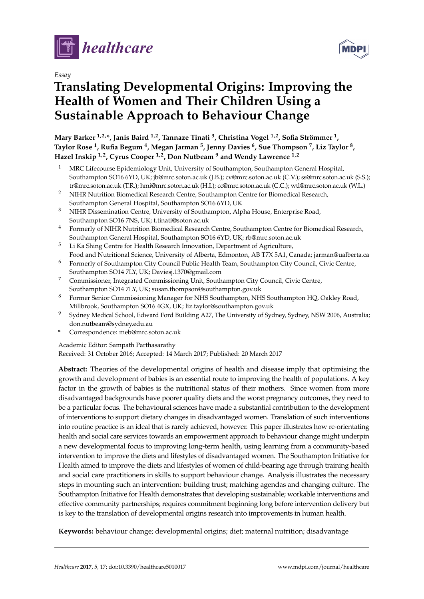

*Essay*

# **Translating Developmental Origins: Improving the Health of Women and Their Children Using a Sustainable Approach to Behaviour Change**

**Mary Barker 1,2,\*, Janis Baird 1,2, Tannaze Tinati <sup>3</sup> , Christina Vogel 1,2, Sofia Strömmer <sup>1</sup> , Taylor Rose <sup>1</sup> , Rufia Begum <sup>4</sup> , Megan Jarman <sup>5</sup> , Jenny Davies <sup>6</sup> , Sue Thompson <sup>7</sup> , Liz Taylor <sup>8</sup> , Hazel Inskip 1,2, Cyrus Cooper 1,2, Don Nutbeam <sup>9</sup> and Wendy Lawrence 1,2**

- <sup>1</sup> MRC Lifecourse Epidemiology Unit, University of Southampton, Southampton General Hospital, Southampton SO16 6YD, UK; jb@mrc.soton.ac.uk (J.B.); cv@mrc.soton.ac.uk (C.V.); ss@mrc.soton.ac.uk (S.S.); tr@mrc.soton.ac.uk (T.R.); hmi@mrc.soton.ac.uk (H.I.); cc@mrc.soton.ac.uk (C.C.); wtl@mrc.soton.ac.uk (W.L.)
- <sup>2</sup> NIHR Nutrition Biomedical Research Centre, Southampton Centre for Biomedical Research, Southampton General Hospital, Southampton SO16 6YD, UK
- <sup>3</sup> NIHR Dissemination Centre, University of Southampton, Alpha House, Enterprise Road, Southampton SO16 7NS, UK; t.tinati@soton.ac.uk
- <sup>4</sup> Formerly of NIHR Nutrition Biomedical Research Centre, Southampton Centre for Biomedical Research, Southampton General Hospital, Southampton SO16 6YD, UK; rb@mrc.soton.ac.uk
- <sup>5</sup> Li Ka Shing Centre for Health Research Innovation, Department of Agriculture, Food and Nutritional Science, University of Alberta, Edmonton, AB T7X 5A1, Canada; jarman@ualberta.ca
- <sup>6</sup> Formerly of Southampton City Council Public Health Team, Southampton City Council, Civic Centre, Southampton SO14 7LY, UK; Daviesj.1370@gmail.com
- <sup>7</sup> Commissioner, Integrated Commissioning Unit, Southampton City Council, Civic Centre, Southampton SO14 7LY, UK; susan.thompson@southampton.gov.uk
- <sup>8</sup> Former Senior Commissioning Manager for NHS Southampton, NHS Southampton HQ, Oakley Road, Millbrook, Southampton SO16 4GX, UK; liz.taylor@southampton.gov.uk
- <sup>9</sup> Sydney Medical School, Edward Ford Building A27, The University of Sydney, Sydney, NSW 2006, Australia; don.nutbeam@sydney.edu.au
- **\*** Correspondence: meb@mrc.soton.ac.uk

Academic Editor: Sampath Parthasarathy

Received: 31 October 2016; Accepted: 14 March 2017; Published: 20 March 2017

**Abstract:** Theories of the developmental origins of health and disease imply that optimising the growth and development of babies is an essential route to improving the health of populations. A key factor in the growth of babies is the nutritional status of their mothers. Since women from more disadvantaged backgrounds have poorer quality diets and the worst pregnancy outcomes, they need to be a particular focus. The behavioural sciences have made a substantial contribution to the development of interventions to support dietary changes in disadvantaged women. Translation of such interventions into routine practice is an ideal that is rarely achieved, however. This paper illustrates how re-orientating health and social care services towards an empowerment approach to behaviour change might underpin a new developmental focus to improving long-term health, using learning from a community-based intervention to improve the diets and lifestyles of disadvantaged women. The Southampton Initiative for Health aimed to improve the diets and lifestyles of women of child-bearing age through training health and social care practitioners in skills to support behaviour change. Analysis illustrates the necessary steps in mounting such an intervention: building trust; matching agendas and changing culture. The Southampton Initiative for Health demonstrates that developing sustainable; workable interventions and effective community partnerships; requires commitment beginning long before intervention delivery but is key to the translation of developmental origins research into improvements in human health.

**Keywords:** behaviour change; developmental origins; diet; maternal nutrition; disadvantage

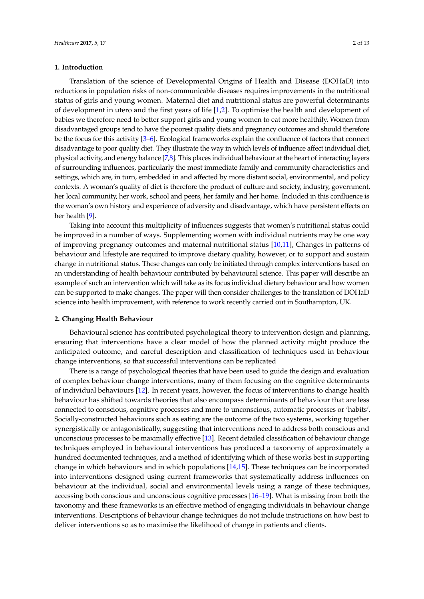# **1. Introduction**

Translation of the science of Developmental Origins of Health and Disease (DOHaD) into reductions in population risks of non-communicable diseases requires improvements in the nutritional status of girls and young women. Maternal diet and nutritional status are powerful determinants of development in utero and the first years of life [\[1](#page-10-0)[,2\]](#page-10-1). To optimise the health and development of babies we therefore need to better support girls and young women to eat more healthily. Women from disadvantaged groups tend to have the poorest quality diets and pregnancy outcomes and should therefore be the focus for this activity [\[3–](#page-10-2)[6\]](#page-10-3). Ecological frameworks explain the confluence of factors that connect disadvantage to poor quality diet. They illustrate the way in which levels of influence affect individual diet, physical activity, and energy balance [\[7](#page-10-4)[,8\]](#page-10-5). This places individual behaviour at the heart of interacting layers of surrounding influences, particularly the most immediate family and community characteristics and settings, which are, in turn, embedded in and affected by more distant social, environmental, and policy contexts. A woman's quality of diet is therefore the product of culture and society, industry, government,

her local community, her work, school and peers, her family and her home. Included in this confluence is the woman's own history and experience of adversity and disadvantage, which have persistent effects on her health [\[9\]](#page-10-6).

Taking into account this multiplicity of influences suggests that women's nutritional status could be improved in a number of ways. Supplementing women with individual nutrients may be one way of improving pregnancy outcomes and maternal nutritional status [\[10,](#page-10-7)[11\]](#page-10-8), Changes in patterns of behaviour and lifestyle are required to improve dietary quality, however, or to support and sustain change in nutritional status. These changes can only be initiated through complex interventions based on an understanding of health behaviour contributed by behavioural science. This paper will describe an example of such an intervention which will take as its focus individual dietary behaviour and how women can be supported to make changes. The paper will then consider challenges to the translation of DOHaD science into health improvement, with reference to work recently carried out in Southampton, UK.

## **2. Changing Health Behaviour**

Behavioural science has contributed psychological theory to intervention design and planning, ensuring that interventions have a clear model of how the planned activity might produce the anticipated outcome, and careful description and classification of techniques used in behaviour change interventions, so that successful interventions can be replicated

There is a range of psychological theories that have been used to guide the design and evaluation of complex behaviour change interventions, many of them focusing on the cognitive determinants of individual behaviours [\[12\]](#page-10-9). In recent years, however, the focus of interventions to change health behaviour has shifted towards theories that also encompass determinants of behaviour that are less connected to conscious, cognitive processes and more to unconscious, automatic processes or 'habits'. Socially-constructed behaviours such as eating are the outcome of the two systems, working together synergistically or antagonistically, suggesting that interventions need to address both conscious and unconscious processes to be maximally effective [\[13\]](#page-10-10). Recent detailed classification of behaviour change techniques employed in behavioural interventions has produced a taxonomy of approximately a hundred documented techniques, and a method of identifying which of these works best in supporting change in which behaviours and in which populations [\[14](#page-10-11)[,15\]](#page-10-12). These techniques can be incorporated into interventions designed using current frameworks that systematically address influences on behaviour at the individual, social and environmental levels using a range of these techniques, accessing both conscious and unconscious cognitive processes [\[16](#page-10-13)[–19\]](#page-10-14). What is missing from both the taxonomy and these frameworks is an effective method of engaging individuals in behaviour change interventions. Descriptions of behaviour change techniques do not include instructions on how best to deliver interventions so as to maximise the likelihood of change in patients and clients.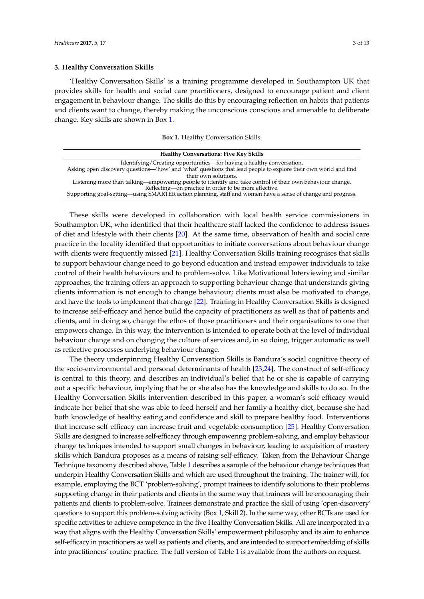## **3. Healthy Conversation Skills**

'Healthy Conversation Skills' is a training programme developed in Southampton UK that provides skills for health and social care practitioners, designed to encourage patient and client engagement in behaviour change. The skills do this by encouraging reflection on habits that patients and clients want to change, thereby making the unconscious conscious and amenable to deliberate change. Key skills are shown in Box [1.](#page-2-0)

**Box 1.** Healthy Conversation Skills.

<span id="page-2-0"></span>

| <b>Healthy Conversations: Five Key Skills</b>                                                                   |
|-----------------------------------------------------------------------------------------------------------------|
| Identifying/Creating opportunities—for having a healthy conversation.                                           |
| Asking open discovery questions—'how' and 'what' questions that lead people to explore their own world and find |
| their own solutions.                                                                                            |
| Listening more than talking—empowering people to identify and take control of their own behaviour change.       |
| Reflecting-on practice in order to be more effective.                                                           |
| Supporting goal-setting—using SMARTER action planning, staff and women have a sense of change and progress.     |

These skills were developed in collaboration with local health service commissioners in Southampton UK, who identified that their healthcare staff lacked the confidence to address issues of diet and lifestyle with their clients [\[20\]](#page-10-15). At the same time, observation of health and social care practice in the locality identified that opportunities to initiate conversations about behaviour change with clients were frequently missed [\[21\]](#page-11-0). Healthy Conversation Skills training recognises that skills to support behaviour change need to go beyond education and instead empower individuals to take control of their health behaviours and to problem-solve. Like Motivational Interviewing and similar approaches, the training offers an approach to supporting behaviour change that understands giving clients information is not enough to change behaviour; clients must also be motivated to change, and have the tools to implement that change [\[22\]](#page-11-1). Training in Healthy Conversation Skills is designed to increase self-efficacy and hence build the capacity of practitioners as well as that of patients and clients, and in doing so, change the ethos of those practitioners and their organisations to one that empowers change. In this way, the intervention is intended to operate both at the level of individual behaviour change and on changing the culture of services and, in so doing, trigger automatic as well as reflective processes underlying behaviour change.

The theory underpinning Healthy Conversation Skills is Bandura's social cognitive theory of the socio-environmental and personal determinants of health [\[23,](#page-11-2)[24\]](#page-11-3). The construct of self-efficacy is central to this theory, and describes an individual's belief that he or she is capable of carrying out a specific behaviour, implying that he or she also has the knowledge and skills to do so. In the Healthy Conversation Skills intervention described in this paper, a woman's self-efficacy would indicate her belief that she was able to feed herself and her family a healthy diet, because she had both knowledge of healthy eating and confidence and skill to prepare healthy food. Interventions that increase self-efficacy can increase fruit and vegetable consumption [\[25\]](#page-11-4). Healthy Conversation Skills are designed to increase self-efficacy through empowering problem-solving, and employ behaviour change techniques intended to support small changes in behaviour, leading to acquisition of mastery skills which Bandura proposes as a means of raising self-efficacy. Taken from the Behaviour Change Technique taxonomy described above, Table [1](#page-3-0) describes a sample of the behaviour change techniques that underpin Healthy Conversation Skills and which are used throughout the training. The trainer will, for example, employing the BCT 'problem-solving', prompt trainees to identify solutions to their problems supporting change in their patients and clients in the same way that trainees will be encouraging their patients and clients to problem-solve. Trainees demonstrate and practice the skill of using 'open-discovery' questions to support this problem-solving activity (Box [1,](#page-2-0) Skill 2). In the same way, other BCTs are used for specific activities to achieve competence in the five Healthy Conversation Skills. All are incorporated in a way that aligns with the Healthy Conversation Skills' empowerment philosophy and its aim to enhance self-efficacy in practitioners as well as patients and clients, and are intended to support embedding of skills into practitioners' routine practice. The full version of Table [1](#page-3-0) is available from the authors on request.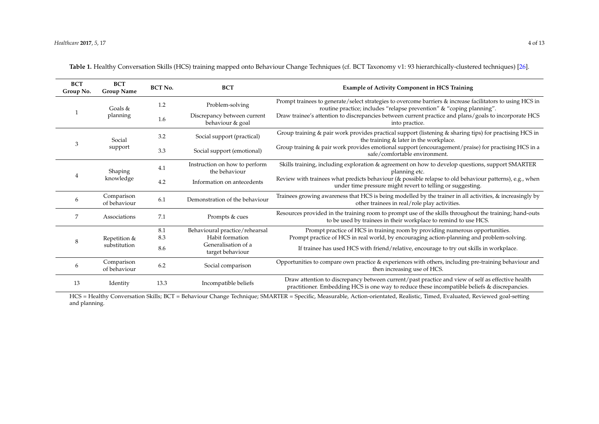| <b>BCT</b><br>Group No. | <b>BCT</b><br><b>Group Name</b> | <b>BCT No.</b> | <b>BCT</b>                                      | <b>Example of Activity Component in HCS Training</b>                                                                                                                                             |
|-------------------------|---------------------------------|----------------|-------------------------------------------------|--------------------------------------------------------------------------------------------------------------------------------------------------------------------------------------------------|
|                         | Goals &<br>planning             | 1.2            | Problem-solving                                 | Prompt trainees to generate/select strategies to overcome barriers & increase facilitators to using HCS in<br>routine practice; includes "relapse prevention" & "coping planning".               |
|                         |                                 | 1.6            | Discrepancy between current<br>behaviour & goal | Draw trainee's attention to discrepancies between current practice and plans/goals to incorporate HCS<br>into practice.                                                                          |
| 3                       | Social<br>support               | 3.2            | Social support (practical)                      | Group training & pair work provides practical support (listening & sharing tips) for practising HCS in<br>the training & later in the workplace.                                                 |
|                         |                                 | 3.3            | Social support (emotional)                      | Group training & pair work provides emotional support (encouragement/praise) for practising HCS in a<br>safe/comfortable environment.                                                            |
| 4                       | Shaping<br>knowledge            | 4.1            | Instruction on how to perform<br>the behaviour  | Skills training, including exploration & agreement on how to develop questions, support SMARTER<br>planning etc.                                                                                 |
|                         |                                 | 4.2            | Information on antecedents                      | Review with trainees what predicts behaviour (& possible relapse to old behaviour patterns), e.g., when<br>under time pressure might revert to telling or suggesting.                            |
| 6                       | Comparison<br>of behaviour      | 6.1            | Demonstration of the behaviour                  | Trainees growing awareness that HCS is being modelled by the trainer in all activities, & increasingly by<br>other trainees in real/role play activities.                                        |
| 7                       | Associations                    | 7.1            | Prompts & cues                                  | Resources provided in the training room to prompt use of the skills throughout the training; hand-outs<br>to be used by trainees in their workplace to remind to use HCS.                        |
| 8                       | Repetition &<br>substitution    | 8.1            | Behavioural practice/rehearsal                  | Prompt practice of HCS in training room by providing numerous opportunities.                                                                                                                     |
|                         |                                 | 8.3            | Habit formation                                 | Prompt practice of HCS in real world, by encouraging action-planning and problem-solving.                                                                                                        |
|                         |                                 | 8.6            | Generalisation of a<br>target behaviour         | If trainee has used HCS with friend/relative, encourage to try out skills in workplace.                                                                                                          |
| 6                       | Comparison<br>of behaviour      | 6.2            | Social comparison                               | Opportunities to compare own practice & experiences with others, including pre-training behaviour and<br>then increasing use of HCS.                                                             |
| 13                      | Identity                        | 13.3           | Incompatible beliefs                            | Draw attention to discrepancy between current/past practice and view of self as effective health<br>practitioner. Embedding HCS is one way to reduce these incompatible beliefs & discrepancies. |

**Table 1.** Healthy Conversation Skills (HCS) training mapped onto Behaviour Change Techniques (cf. BCT Taxonomy v1: 93 hierarchically-clustered techniques) [\[26\]](#page-11-5).

<span id="page-3-0"></span>HCS = Healthy Conversation Skills; BCT = Behaviour Change Technique; SMARTER = Specific, Measurable, Action-orientated, Realistic, Timed, Evaluated, Reviewed goal-setting and planning.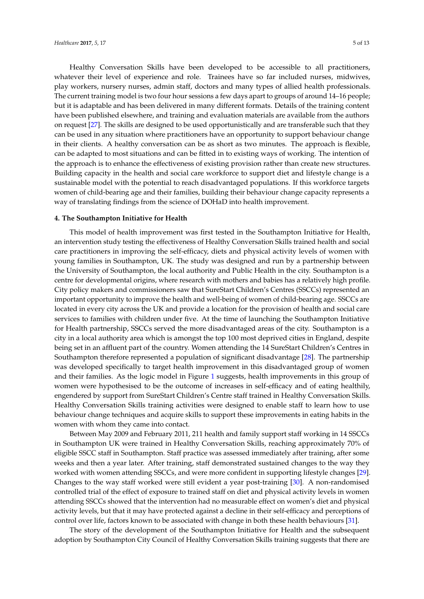Healthy Conversation Skills have been developed to be accessible to all practitioners, whatever their level of experience and role. Trainees have so far included nurses, midwives, play workers, nursery nurses, admin staff, doctors and many types of allied health professionals. The current training model is two four hour sessions a few days apart to groups of around 14–16 people; but it is adaptable and has been delivered in many different formats. Details of the training content have been published elsewhere, and training and evaluation materials are available from the authors on request [\[27\]](#page-11-6). The skills are designed to be used opportunistically and are transferable such that they can be used in any situation where practitioners have an opportunity to support behaviour change in their clients. A healthy conversation can be as short as two minutes. The approach is flexible, can be adapted to most situations and can be fitted in to existing ways of working. The intention of the approach is to enhance the effectiveness of existing provision rather than create new structures. Building capacity in the health and social care workforce to support diet and lifestyle change is a sustainable model with the potential to reach disadvantaged populations. If this workforce targets women of child-bearing age and their families, building their behaviour change capacity represents a way of translating findings from the science of DOHaD into health improvement.

## **4. The Southampton Initiative for Health**

This model of health improvement was first tested in the Southampton Initiative for Health, an intervention study testing the effectiveness of Healthy Conversation Skills trained health and social care practitioners in improving the self-efficacy, diets and physical activity levels of women with young families in Southampton, UK. The study was designed and run by a partnership between the University of Southampton, the local authority and Public Health in the city. Southampton is a centre for developmental origins, where research with mothers and babies has a relatively high profile. City policy makers and commissioners saw that SureStart Children's Centres (SSCCs) represented an important opportunity to improve the health and well-being of women of child-bearing age. SSCCs are located in every city across the UK and provide a location for the provision of health and social care services to families with children under five. At the time of launching the Southampton Initiative for Health partnership, SSCCs served the more disadvantaged areas of the city. Southampton is a city in a local authority area which is amongst the top 100 most deprived cities in England, despite being set in an affluent part of the country. Women attending the 14 SureStart Children's Centres in Southampton therefore represented a population of significant disadvantage [\[28\]](#page-11-7). The partnership was developed specifically to target health improvement in this disadvantaged group of women and their families. As the logic model in Figure [1](#page-5-0) suggests, health improvements in this group of women were hypothesised to be the outcome of increases in self-efficacy and of eating healthily, engendered by support from SureStart Children's Centre staff trained in Healthy Conversation Skills. Healthy Conversation Skills training activities were designed to enable staff to learn how to use behaviour change techniques and acquire skills to support these improvements in eating habits in the women with whom they came into contact.

Between May 2009 and February 2011, 211 health and family support staff working in 14 SSCCs in Southampton UK were trained in Healthy Conversation Skills, reaching approximately 70% of eligible SSCC staff in Southampton. Staff practice was assessed immediately after training, after some weeks and then a year later. After training, staff demonstrated sustained changes to the way they worked with women attending SSCCs, and were more confident in supporting lifestyle changes [\[29\]](#page-11-8). Changes to the way staff worked were still evident a year post-training [\[30\]](#page-11-9). A non-randomised controlled trial of the effect of exposure to trained staff on diet and physical activity levels in women attending SSCCs showed that the intervention had no measurable effect on women's diet and physical activity levels, but that it may have protected against a decline in their self-efficacy and perceptions of control over life, factors known to be associated with change in both these health behaviours [\[31\]](#page-11-10).

The story of the development of the Southampton Initiative for Health and the subsequent adoption by Southampton City Council of Healthy Conversation Skills training suggests that there are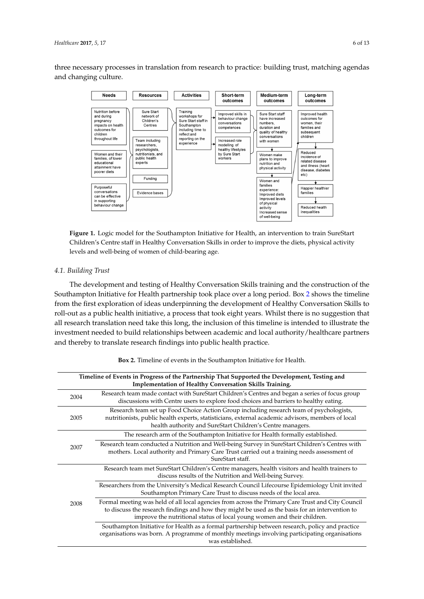<span id="page-5-0"></span>three necessary processes in translation from research to practice: building trust, matching agendas are three necessary processes in translation from research to practice: building trust, matching and changing culture. agendas and changing culture.



**Figure 1.** Logic model for the Southampton Initiative for Health, an intervention to train SureStart **Figure 1.** Logic model for the Southampton Initiative for Health, an intervention to train SureStart  $\overline{C}$  children's Centre station Skills in  $\overline{C}$  in order to improve the diets, physical activity of  $\overline{C}$ Children's Centre staff in Healthy Conversation Skills in order to improve the diets, physical activity levels and well-being of women of child-bearing age.

#### $T_{\rm c}$  and testing of  $T_{\rm c}$  training and the construction skills training and the construction of the construction of the construction of the construction of the construction of the construction of the construction o *4.1. Building Trust*

The development and testing of Healthy Conversation Skills training and the construction of the from the first exploration of the first exploration of the development of Healthy Conversation Skills to the conversation Skills Southampton Initiative for Health partnership took place over a long period. Box 2 shows the timeline from the first exploration of ideas underpinning the development of Healthy Conversation Skills to roll-out as a public health initiative, a process that took eight years. Whilst there is no suggestion that all research translation need take this long, the inclusion of this timeline is intended to illustrate the **Box 2.** Timeline of events in the Southampton Initiative for Health. investment needed to build relationships between academic and local authority/healthcare partners and thereby to translate research findings into public health practice.

<span id="page-5-1"></span>

| Timeline of Events in Progress of the Partnership That Supported the Development, Testing and<br>Implementation of Healthy Conversation Skills Training. |                                                                                                                                                                                                                                                                                 |  |  |  |  |  |
|----------------------------------------------------------------------------------------------------------------------------------------------------------|---------------------------------------------------------------------------------------------------------------------------------------------------------------------------------------------------------------------------------------------------------------------------------|--|--|--|--|--|
| 2004                                                                                                                                                     | Research team made contact with SureStart Children's Centres and began a series of focus group<br>discussions with Centre users to explore food choices and barriers to healthy eating.                                                                                         |  |  |  |  |  |
| 2005                                                                                                                                                     | Research team set up Food Choice Action Group including research team of psychologists,<br>nutritionists, public health experts, statisticians, external academic advisors, members of local<br>health authority and SureStart Children's Centre managers.                      |  |  |  |  |  |
| 2007                                                                                                                                                     | The research arm of the Southampton Initiative for Health formally established.                                                                                                                                                                                                 |  |  |  |  |  |
|                                                                                                                                                          | Research team conducted a Nutrition and Well-being Survey in SureStart Children's Centres with<br>mothers. Local authority and Primary Care Trust carried out a training needs assessment of<br>SureStart staff.                                                                |  |  |  |  |  |
| 2008                                                                                                                                                     | Research team met SureStart Children's Centre managers, health visitors and health trainers to<br>discuss results of the Nutrition and Well-being Survey.                                                                                                                       |  |  |  |  |  |
|                                                                                                                                                          | Researchers from the University's Medical Research Council Lifecourse Epidemiology Unit invited<br>Southampton Primary Care Trust to discuss needs of the local area.                                                                                                           |  |  |  |  |  |
|                                                                                                                                                          | Formal meeting was held of all local agencies from across the Primary Care Trust and City Council<br>to discuss the research findings and how they might be used as the basis for an intervention to<br>improve the nutritional status of local young women and their children. |  |  |  |  |  |
|                                                                                                                                                          | Southampton Initiative for Health as a formal partnership between research, policy and practice<br>organisations was born. A programme of monthly meetings involving participating organisations<br>was established.                                                            |  |  |  |  |  |

**Timeline of Events in Progress of the Partnership That Supported the Development, Testing and Implementation of Healthy Conversation Skills Training. Box 2.** Timeline of events in the Southampton Initiative for Health.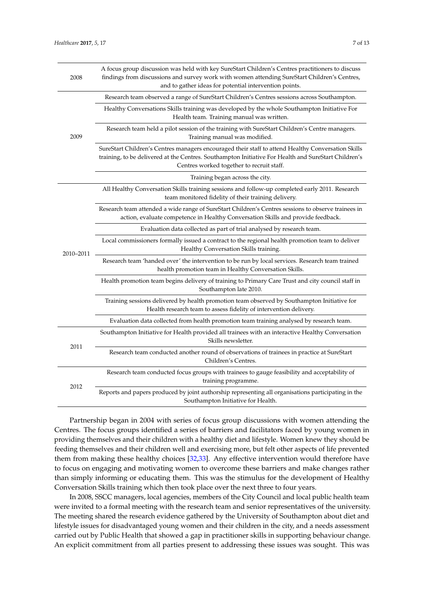| 2008      | A focus group discussion was held with key SureStart Children's Centres practitioners to discuss<br>findings from discussions and survey work with women attending SureStart Children's Centres,<br>and to gather ideas for potential intervention points. |  |  |  |  |  |
|-----------|------------------------------------------------------------------------------------------------------------------------------------------------------------------------------------------------------------------------------------------------------------|--|--|--|--|--|
| 2009      | Research team observed a range of SureStart Children's Centres sessions across Southampton.                                                                                                                                                                |  |  |  |  |  |
|           | Healthy Conversations Skills training was developed by the whole Southampton Initiative For<br>Health team. Training manual was written.                                                                                                                   |  |  |  |  |  |
|           | Research team held a pilot session of the training with SureStart Children's Centre managers.<br>Training manual was modified.                                                                                                                             |  |  |  |  |  |
|           | SureStart Children's Centres managers encouraged their staff to attend Healthy Conversation Skills<br>training, to be delivered at the Centres. Southampton Initiative For Health and SureStart Children's<br>Centres worked together to recruit staff.    |  |  |  |  |  |
|           | Training began across the city.                                                                                                                                                                                                                            |  |  |  |  |  |
|           | All Healthy Conversation Skills training sessions and follow-up completed early 2011. Research<br>team monitored fidelity of their training delivery.                                                                                                      |  |  |  |  |  |
|           | Research team attended a wide range of SureStart Children's Centres sessions to observe trainees in<br>action, evaluate competence in Healthy Conversation Skills and provide feedback.                                                                    |  |  |  |  |  |
|           | Evaluation data collected as part of trial analysed by research team.                                                                                                                                                                                      |  |  |  |  |  |
| 2010–2011 | Local commissioners formally issued a contract to the regional health promotion team to deliver<br>Healthy Conversation Skills training.                                                                                                                   |  |  |  |  |  |
|           | Research team 'handed over' the intervention to be run by local services. Research team trained<br>health promotion team in Healthy Conversation Skills.                                                                                                   |  |  |  |  |  |
|           | Health promotion team begins delivery of training to Primary Care Trust and city council staff in<br>Southampton late 2010.                                                                                                                                |  |  |  |  |  |
|           | Training sessions delivered by health promotion team observed by Southampton Initiative for<br>Health research team to assess fidelity of intervention delivery.                                                                                           |  |  |  |  |  |
|           | Evaluation data collected from health promotion team training analysed by research team.                                                                                                                                                                   |  |  |  |  |  |
| 2011      | Southampton Initiative for Health provided all trainees with an interactive Healthy Conversation<br>Skills newsletter.                                                                                                                                     |  |  |  |  |  |
|           | Research team conducted another round of observations of trainees in practice at SureStart<br>Children's Centres.                                                                                                                                          |  |  |  |  |  |
| 2012      | Research team conducted focus groups with trainees to gauge feasibility and acceptability of<br>training programme.                                                                                                                                        |  |  |  |  |  |
|           | Reports and papers produced by joint authorship representing all organisations participating in the<br>Southampton Initiative for Health.                                                                                                                  |  |  |  |  |  |

Partnership began in 2004 with series of focus group discussions with women attending the Centres. The focus groups identified a series of barriers and facilitators faced by young women in providing themselves and their children with a healthy diet and lifestyle. Women knew they should be feeding themselves and their children well and exercising more, but felt other aspects of life prevented them from making these healthy choices [\[32,](#page-11-11)[33\]](#page-11-12). Any effective intervention would therefore have to focus on engaging and motivating women to overcome these barriers and make changes rather than simply informing or educating them. This was the stimulus for the development of Healthy Conversation Skills training which then took place over the next three to four years.

In 2008, SSCC managers, local agencies, members of the City Council and local public health team were invited to a formal meeting with the research team and senior representatives of the university. The meeting shared the research evidence gathered by the University of Southampton about diet and lifestyle issues for disadvantaged young women and their children in the city, and a needs assessment carried out by Public Health that showed a gap in practitioner skills in supporting behaviour change. An explicit commitment from all parties present to addressing these issues was sought. This was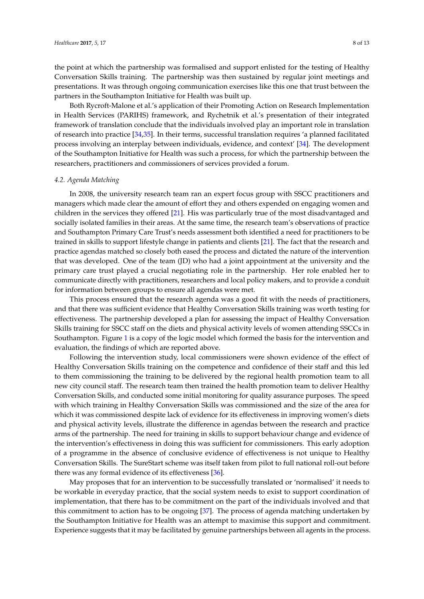the point at which the partnership was formalised and support enlisted for the testing of Healthy Conversation Skills training. The partnership was then sustained by regular joint meetings and presentations. It was through ongoing communication exercises like this one that trust between the partners in the Southampton Initiative for Health was built up.

Both Rycroft-Malone et al.'s application of their Promoting Action on Research Implementation in Health Services (PARIHS) framework, and Rychetnik et al.'s presentation of their integrated framework of translation conclude that the individuals involved play an important role in translation of research into practice [\[34,](#page-11-13)[35\]](#page-11-14). In their terms, successful translation requires 'a planned facilitated process involving an interplay between individuals, evidence, and context' [\[34\]](#page-11-13). The development of the Southampton Initiative for Health was such a process, for which the partnership between the researchers, practitioners and commissioners of services provided a forum.

## *4.2. Agenda Matching*

In 2008, the university research team ran an expert focus group with SSCC practitioners and managers which made clear the amount of effort they and others expended on engaging women and children in the services they offered [\[21\]](#page-11-0). His was particularly true of the most disadvantaged and socially isolated families in their areas. At the same time, the research team's observations of practice and Southampton Primary Care Trust's needs assessment both identified a need for practitioners to be trained in skills to support lifestyle change in patients and clients [\[21\]](#page-11-0). The fact that the research and practice agendas matched so closely both eased the process and dictated the nature of the intervention that was developed. One of the team (JD) who had a joint appointment at the university and the primary care trust played a crucial negotiating role in the partnership. Her role enabled her to communicate directly with practitioners, researchers and local policy makers, and to provide a conduit for information between groups to ensure all agendas were met.

This process ensured that the research agenda was a good fit with the needs of practitioners, and that there was sufficient evidence that Healthy Conversation Skills training was worth testing for effectiveness. The partnership developed a plan for assessing the impact of Healthy Conversation Skills training for SSCC staff on the diets and physical activity levels of women attending SSCCs in Southampton. Figure [1](#page-5-0) is a copy of the logic model which formed the basis for the intervention and evaluation, the findings of which are reported above.

Following the intervention study, local commissioners were shown evidence of the effect of Healthy Conversation Skills training on the competence and confidence of their staff and this led to them commissioning the training to be delivered by the regional health promotion team to all new city council staff. The research team then trained the health promotion team to deliver Healthy Conversation Skills, and conducted some initial monitoring for quality assurance purposes. The speed with which training in Healthy Conversation Skills was commissioned and the size of the area for which it was commissioned despite lack of evidence for its effectiveness in improving women's diets and physical activity levels, illustrate the difference in agendas between the research and practice arms of the partnership. The need for training in skills to support behaviour change and evidence of the intervention's effectiveness in doing this was sufficient for commissioners. This early adoption of a programme in the absence of conclusive evidence of effectiveness is not unique to Healthy Conversation Skills. The SureStart scheme was itself taken from pilot to full national roll-out before there was any formal evidence of its effectiveness [\[36\]](#page-11-15).

May proposes that for an intervention to be successfully translated or 'normalised' it needs to be workable in everyday practice, that the social system needs to exist to support coordination of implementation, that there has to be commitment on the part of the individuals involved and that this commitment to action has to be ongoing [\[37\]](#page-11-16). The process of agenda matching undertaken by the Southampton Initiative for Health was an attempt to maximise this support and commitment. Experience suggests that it may be facilitated by genuine partnerships between all agents in the process.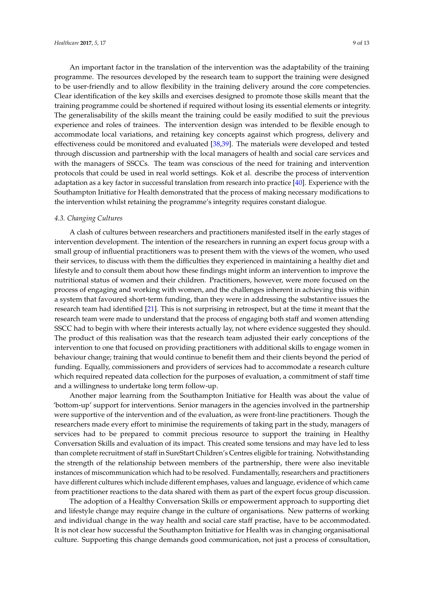An important factor in the translation of the intervention was the adaptability of the training programme. The resources developed by the research team to support the training were designed to be user-friendly and to allow flexibility in the training delivery around the core competencies. Clear identification of the key skills and exercises designed to promote those skills meant that the training programme could be shortened if required without losing its essential elements or integrity. The generalisability of the skills meant the training could be easily modified to suit the previous experience and roles of trainees. The intervention design was intended to be flexible enough to accommodate local variations, and retaining key concepts against which progress, delivery and effectiveness could be monitored and evaluated [\[38,](#page-11-17)[39\]](#page-12-0). The materials were developed and tested through discussion and partnership with the local managers of health and social care services and with the managers of SSCCs. The team was conscious of the need for training and intervention protocols that could be used in real world settings. Kok et al. describe the process of intervention adaptation as a key factor in successful translation from research into practice [\[40\]](#page-12-1). Experience with the Southampton Initiative for Health demonstrated that the process of making necessary modifications to the intervention whilst retaining the programme's integrity requires constant dialogue.

## *4.3. Changing Cultures*

A clash of cultures between researchers and practitioners manifested itself in the early stages of intervention development. The intention of the researchers in running an expert focus group with a small group of influential practitioners was to present them with the views of the women, who used their services, to discuss with them the difficulties they experienced in maintaining a healthy diet and lifestyle and to consult them about how these findings might inform an intervention to improve the nutritional status of women and their children. Practitioners, however, were more focused on the process of engaging and working with women, and the challenges inherent in achieving this within a system that favoured short-term funding, than they were in addressing the substantive issues the research team had identified [\[21\]](#page-11-0). This is not surprising in retrospect, but at the time it meant that the research team were made to understand that the process of engaging both staff and women attending SSCC had to begin with where their interests actually lay, not where evidence suggested they should. The product of this realisation was that the research team adjusted their early conceptions of the intervention to one that focused on providing practitioners with additional skills to engage women in behaviour change; training that would continue to benefit them and their clients beyond the period of funding. Equally, commissioners and providers of services had to accommodate a research culture which required repeated data collection for the purposes of evaluation, a commitment of staff time and a willingness to undertake long term follow-up.

Another major learning from the Southampton Initiative for Health was about the value of 'bottom-up' support for interventions. Senior managers in the agencies involved in the partnership were supportive of the intervention and of the evaluation, as were front-line practitioners. Though the researchers made every effort to minimise the requirements of taking part in the study, managers of services had to be prepared to commit precious resource to support the training in Healthy Conversation Skills and evaluation of its impact. This created some tensions and may have led to less than complete recruitment of staff in SureStart Children's Centres eligible for training. Notwithstanding the strength of the relationship between members of the partnership, there were also inevitable instances of miscommunication which had to be resolved. Fundamentally, researchers and practitioners have different cultures which include different emphases, values and language, evidence of which came from practitioner reactions to the data shared with them as part of the expert focus group discussion.

The adoption of a Healthy Conversation Skills or empowerment approach to supporting diet and lifestyle change may require change in the culture of organisations. New patterns of working and individual change in the way health and social care staff practise, have to be accommodated. It is not clear how successful the Southampton Initiative for Health was in changing organisational culture. Supporting this change demands good communication, not just a process of consultation,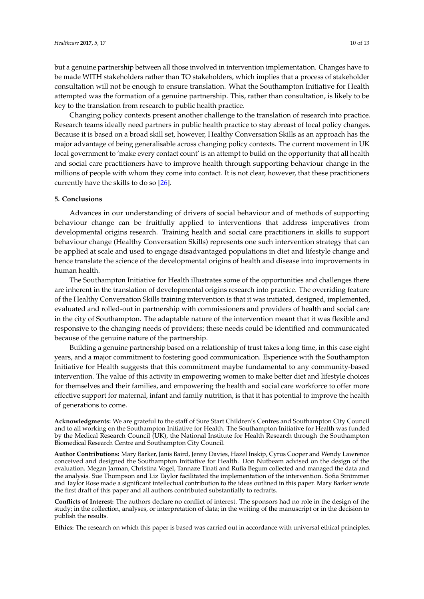but a genuine partnership between all those involved in intervention implementation. Changes have to be made WITH stakeholders rather than TO stakeholders, which implies that a process of stakeholder consultation will not be enough to ensure translation. What the Southampton Initiative for Health attempted was the formation of a genuine partnership. This, rather than consultation, is likely to be key to the translation from research to public health practice.

Changing policy contexts present another challenge to the translation of research into practice. Research teams ideally need partners in public health practice to stay abreast of local policy changes. Because it is based on a broad skill set, however, Healthy Conversation Skills as an approach has the major advantage of being generalisable across changing policy contexts. The current movement in UK local government to 'make every contact count' is an attempt to build on the opportunity that all health and social care practitioners have to improve health through supporting behaviour change in the millions of people with whom they come into contact. It is not clear, however, that these practitioners currently have the skills to do so [\[26\]](#page-11-18).

# **5. Conclusions**

Advances in our understanding of drivers of social behaviour and of methods of supporting behaviour change can be fruitfully applied to interventions that address imperatives from developmental origins research. Training health and social care practitioners in skills to support behaviour change (Healthy Conversation Skills) represents one such intervention strategy that can be applied at scale and used to engage disadvantaged populations in diet and lifestyle change and hence translate the science of the developmental origins of health and disease into improvements in human health.

The Southampton Initiative for Health illustrates some of the opportunities and challenges there are inherent in the translation of developmental origins research into practice. The overriding feature of the Healthy Conversation Skills training intervention is that it was initiated, designed, implemented, evaluated and rolled-out in partnership with commissioners and providers of health and social care in the city of Southampton. The adaptable nature of the intervention meant that it was flexible and responsive to the changing needs of providers; these needs could be identified and communicated because of the genuine nature of the partnership.

Building a genuine partnership based on a relationship of trust takes a long time, in this case eight years, and a major commitment to fostering good communication. Experience with the Southampton Initiative for Health suggests that this commitment maybe fundamental to any community-based intervention. The value of this activity in empowering women to make better diet and lifestyle choices for themselves and their families, and empowering the health and social care workforce to offer more effective support for maternal, infant and family nutrition, is that it has potential to improve the health of generations to come.

**Acknowledgments:** We are grateful to the staff of Sure Start Children's Centres and Southampton City Council and to all working on the Southampton Initiative for Health. The Southampton Initiative for Health was funded by the Medical Research Council (UK), the National Institute for Health Research through the Southampton Biomedical Research Centre and Southampton City Council.

**Author Contributions:** Mary Barker, Janis Baird, Jenny Davies, Hazel Inskip, Cyrus Cooper and Wendy Lawrence conceived and designed the Southampton Initiative for Health. Don Nutbeam advised on the design of the evaluation. Megan Jarman, Christina Vogel, Tannaze Tinati and Rufia Begum collected and managed the data and the analysis. Sue Thompson and Liz Taylor facilitated the implementation of the intervention. Sofia Strömmer and Taylor Rose made a significant intellectual contribution to the ideas outlined in this paper. Mary Barker wrote the first draft of this paper and all authors contributed substantially to redrafts.

**Conflicts of Interest:** The authors declare no conflict of interest. The sponsors had no role in the design of the study; in the collection, analyses, or interpretation of data; in the writing of the manuscript or in the decision to publish the results.

**Ethics:** The research on which this paper is based was carried out in accordance with universal ethical principles.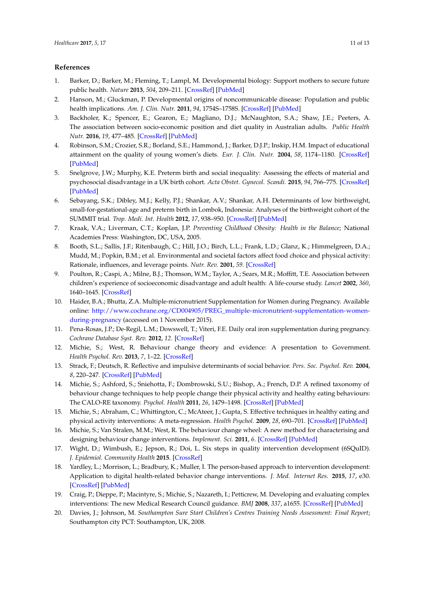# **References**

- <span id="page-10-0"></span>1. Barker, D.; Barker, M.; Fleming, T.; Lampl, M. Developmental biology: Support mothers to secure future public health. *Nature* **2013**, *504*, 209–211. [\[CrossRef\]](http://dx.doi.org/10.1038/504209a) [\[PubMed\]](http://www.ncbi.nlm.nih.gov/pubmed/24350368)
- <span id="page-10-1"></span>2. Hanson, M.; Gluckman, P. Developmental origins of noncommunicable disease: Population and public health implications. *Am. J. Clin. Nutr.* **2011**, *94*, 1754S–1758S. [\[CrossRef\]](http://dx.doi.org/10.3945/ajcn.110.001206) [\[PubMed\]](http://www.ncbi.nlm.nih.gov/pubmed/21525196)
- <span id="page-10-2"></span>3. Backholer, K.; Spencer, E.; Gearon, E.; Magliano, D.J.; McNaughton, S.A.; Shaw, J.E.; Peeters, A. The association between socio-economic position and diet quality in Australian adults. *Public Health Nutr.* **2016**, *19*, 477–485. [\[CrossRef\]](http://dx.doi.org/10.1017/S1368980015001470) [\[PubMed\]](http://www.ncbi.nlm.nih.gov/pubmed/25989940)
- 4. Robinson, S.M.; Crozier, S.R.; Borland, S.E.; Hammond, J.; Barker, D.J.P.; Inskip, H.M. Impact of educational attainment on the quality of young women's diets. *Eur. J. Clin. Nutr.* **2004**, *58*, 1174–1180. [\[CrossRef\]](http://dx.doi.org/10.1038/sj.ejcn.1601946) [\[PubMed\]](http://www.ncbi.nlm.nih.gov/pubmed/15054431)
- 5. Snelgrove, J.W.; Murphy, K.E. Preterm birth and social inequality: Assessing the effects of material and psychosocial disadvantage in a UK birth cohort. *Acta Obstet. Gynecol. Scandi.* **2015**, *94*, 766–775. [\[CrossRef\]](http://dx.doi.org/10.1111/aogs.12648) [\[PubMed\]](http://www.ncbi.nlm.nih.gov/pubmed/25846179)
- <span id="page-10-3"></span>6. Sebayang, S.K.; Dibley, M.J.; Kelly, P.J.; Shankar, A.V.; Shankar, A.H. Determinants of low birthweight, small-for-gestational-age and preterm birth in Lombok, Indonesia: Analyses of the birthweight cohort of the SUMMIT trial. *Trop. Medi. Int. Health* **2012**, *17*, 938–950. [\[CrossRef\]](http://dx.doi.org/10.1111/j.1365-3156.2012.03039.x) [\[PubMed\]](http://www.ncbi.nlm.nih.gov/pubmed/22943372)
- <span id="page-10-4"></span>7. Kraak, V.A.; Liverman, C.T.; Koplan, J.P. *Preventing Childhood Obesity: Health in the Balance*; National Academies Press: Washington, DC, USA, 2005.
- <span id="page-10-5"></span>8. Booth, S.L.; Sallis, J.F.; Ritenbaugh, C.; Hill, J.O.; Birch, L.L.; Frank, L.D.; Glanz, K.; Himmelgreen, D.A.; Mudd, M.; Popkin, B.M.; et al. Environmental and societal factors affect food choice and physical activity: Rationale, influences, and leverage points. *Nutr. Rev.* **2001**, *59*. [\[CrossRef\]](http://dx.doi.org/10.1111/j.1753-4887.2001.tb06983.x)
- <span id="page-10-6"></span>9. Poulton, R.; Caspi, A.; Milne, B.J.; Thomson, W.M.; Taylor, A.; Sears, M.R.; Moffitt, T.E. Association between children's experience of socioeconomic disadvantage and adult health: A life-course study. *Lancet* **2002**, *360*, 1640–1645. [\[CrossRef\]](http://dx.doi.org/10.1016/S0140-6736(02)11602-3)
- <span id="page-10-7"></span>10. Haider, B.A.; Bhutta, Z.A. Multiple-micronutrient Supplementation for Women during Pregnancy. Available online: [http://www.cochrane.org/CD004905/PREG\\_multiple-micronutrient-supplementation-women](http://www.cochrane.org/CD004905/PREG_multiple-micronutrient-supplementation-women-during-pregnancy)[during-pregnancy](http://www.cochrane.org/CD004905/PREG_multiple-micronutrient-supplementation-women-during-pregnancy) (accessed on 1 November 2015).
- <span id="page-10-8"></span>11. Pena-Rosas, J.P.; De-Regil, L.M.; Dowswell, T.; Viteri, F.E. Daily oral iron supplementation during pregnancy. *Cochrane Database Syst. Rev.* **2012**, *12*. [\[CrossRef\]](http://dx.doi.org/10.1002/14651858.CD004736.pub4)
- <span id="page-10-9"></span>12. Michie, S.; West, R. Behaviour change theory and evidence: A presentation to Government. *Health Psychol. Rev.* **2013**, *7*, 1–22. [\[CrossRef\]](http://dx.doi.org/10.1080/17437199.2011.649445)
- <span id="page-10-10"></span>13. Strack, F.; Deutsch, R. Reflective and impulsive determinants of social behavior. *Pers. Soc. Psychol. Rev.* **2004**, *8*, 220–247. [\[CrossRef\]](http://dx.doi.org/10.1207/s15327957pspr0803_1) [\[PubMed\]](http://www.ncbi.nlm.nih.gov/pubmed/15454347)
- <span id="page-10-11"></span>14. Michie, S.; Ashford, S.; Sniehotta, F.; Dombrowski, S.U.; Bishop, A.; French, D.P. A refined taxonomy of behaviour change techniques to help people change their physical activity and healthy eating behaviours: The CALO-RE taxonomy. *Psychol. Health* **2011**, *26*, 1479–1498. [\[CrossRef\]](http://dx.doi.org/10.1080/08870446.2010.540664) [\[PubMed\]](http://www.ncbi.nlm.nih.gov/pubmed/21678185)
- <span id="page-10-12"></span>15. Michie, S.; Abraham, C.; Whittington, C.; McAteer, J.; Gupta, S. Effective techniques in healthy eating and physical activity interventions: A meta-regression. *Health Psychol.* **2009**, *28*, 690–701. [\[CrossRef\]](http://dx.doi.org/10.1037/a0016136) [\[PubMed\]](http://www.ncbi.nlm.nih.gov/pubmed/19916637)
- <span id="page-10-13"></span>16. Michie, S.; Van Stralen, M.M.; West, R. The behaviour change wheel: A new method for characterising and designing behaviour change interventions. *Implement. Sci.* **2011**, *6*. [\[CrossRef\]](http://dx.doi.org/10.1186/1748-5908-6-42) [\[PubMed\]](http://www.ncbi.nlm.nih.gov/pubmed/21513547)
- 17. Wight, D.; Wimbush, E.; Jepson, R.; Doi, L. Six steps in quality intervention development (6SQuID). *J. Epidemiol. Community Health* **2015**. [\[CrossRef\]](http://dx.doi.org/10.1136/jech-2015-205952)
- 18. Yardley, L.; Morrison, L.; Bradbury, K.; Muller, I. The person-based approach to intervention development: Application to digital health-related behavior change interventions. *J. Med. Internet Res.* **2015**, *17*, e30. [\[CrossRef\]](http://dx.doi.org/10.2196/jmir.4055) [\[PubMed\]](http://www.ncbi.nlm.nih.gov/pubmed/25639757)
- <span id="page-10-14"></span>19. Craig, P.; Dieppe, P.; Macintyre, S.; Michie, S.; Nazareth, I.; Petticrew, M. Developing and evaluating complex interventions: The new Medical Research Council guidance. *BMJ* **2008**, *337*, a1655. [\[CrossRef\]](http://dx.doi.org/10.1136/bmj.a1655) [\[PubMed\]](http://www.ncbi.nlm.nih.gov/pubmed/18824488)
- <span id="page-10-15"></span>20. Davies, J.; Johnson, M. *Southampton Sure Start Children's Centres Training Needs Assessment: Final Report*; Southampton city PCT: Southampton, UK, 2008.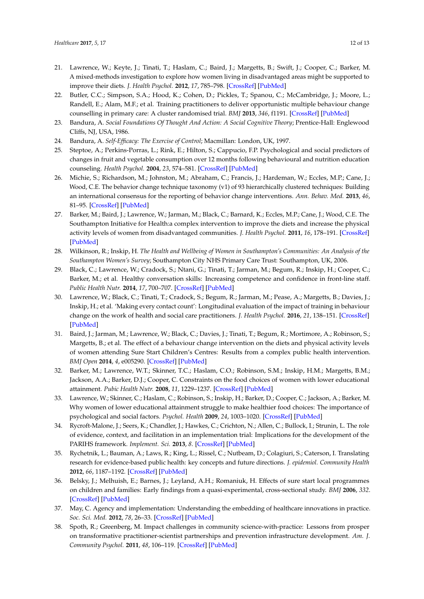- <span id="page-11-5"></span><span id="page-11-0"></span>21. Lawrence, W.; Keyte, J.; Tinati, T.; Haslam, C.; Baird, J.; Margetts, B.; Swift, J.; Cooper, C.; Barker, M. A mixed-methods investigation to explore how women living in disadvantaged areas might be supported to improve their diets. *J. Health Psychol.* **2012**, *17*, 785–798. [\[CrossRef\]](http://dx.doi.org/10.1177/1359105311425271) [\[PubMed\]](http://www.ncbi.nlm.nih.gov/pubmed/22044913)
- <span id="page-11-1"></span>22. Butler, C.C.; Simpson, S.A.; Hood, K.; Cohen, D.; Pickles, T.; Spanou, C.; McCambridge, J.; Moore, L.; Randell, E.; Alam, M.F.; et al. Training practitioners to deliver opportunistic multiple behaviour change counselling in primary care: A cluster randomised trial. *BMJ* **2013**, *346*, f1191. [\[CrossRef\]](http://dx.doi.org/10.1136/bmj.f1191) [\[PubMed\]](http://www.ncbi.nlm.nih.gov/pubmed/23512758)
- <span id="page-11-2"></span>23. Bandura, A. *Social Foundations Of Thought And Action: A Social Cognitive Theory*; Prentice-Hall: Englewood Cliffs, NJ, USA, 1986.
- <span id="page-11-3"></span>24. Bandura, A. *Self-Efficacy: The Exercise of Control*; Macmillan: London, UK, 1997.
- <span id="page-11-4"></span>25. Steptoe, A.; Perkins-Porras, L.; Rink, E.; Hilton, S.; Cappucio, F.P. Psychological and social predictors of changes in fruit and vegetable consumption over 12 months following behavioural and nutrition education counseling. *Health Psychol.* **2004**, *23*, 574–581. [\[CrossRef\]](http://dx.doi.org/10.1037/0278-6133.23.6.574) [\[PubMed\]](http://www.ncbi.nlm.nih.gov/pubmed/15546225)
- <span id="page-11-18"></span>26. Michie, S.; Richardson, M.; Johnston, M.; Abraham, C.; Francis, J.; Hardeman, W.; Eccles, M.P.; Cane, J.; Wood, C.E. The behavior change technique taxonomy (v1) of 93 hierarchically clustered techniques: Building an international consensus for the reporting of behavior change interventions. *Ann. Behav. Med.* **2013**, *46*, 81–95. [\[CrossRef\]](http://dx.doi.org/10.1007/s12160-013-9486-6) [\[PubMed\]](http://www.ncbi.nlm.nih.gov/pubmed/23512568)
- <span id="page-11-6"></span>27. Barker, M.; Baird, J.; Lawrence, W.; Jarman, M.; Black, C.; Barnard, K.; Eccles, M.P.; Cane, J.; Wood, C.E. The Southampton Initiative for Health:a complex intervention to improve the diets and increase the physical activity levels of women from disadvantaged communities. *J. Health Psychol.* **2011**, *16*, 178–191. [\[CrossRef\]](http://dx.doi.org/10.1177/1359105310371397) [\[PubMed\]](http://www.ncbi.nlm.nih.gov/pubmed/20709878)
- <span id="page-11-7"></span>28. Wilkinson, R.; Inskip, H. *The Health and Wellbeing of Women in Southampton's Communities: An Analysis of the Southampton Women's Survey*; Southampton City NHS Primary Care Trust: Southampton, UK, 2006.
- <span id="page-11-8"></span>29. Black, C.; Lawrence, W.; Cradock, S.; Ntani, G.; Tinati, T.; Jarman, M.; Begum, R.; Inskip, H.; Cooper, C.; Barker, M.; et al. Healthy conversation skills: Increasing competence and confidence in front-line staff. *Public Health Nutr.* **2014**, *17*, 700–707. [\[CrossRef\]](http://dx.doi.org/10.1017/S1368980012004089) [\[PubMed\]](http://www.ncbi.nlm.nih.gov/pubmed/22989477)
- <span id="page-11-9"></span>30. Lawrence, W.; Black, C.; Tinati, T.; Cradock, S.; Begum, R.; Jarman, M.; Pease, A.; Margetts, B.; Davies, J.; Inskip, H.; et al. 'Making every contact count': Longitudinal evaluation of the impact of training in behaviour change on the work of health and social care practitioners. *J. Health Psychol.* **2016**, *21*, 138–151. [\[CrossRef\]](http://dx.doi.org/10.1177/1359105314523304) [\[PubMed\]](http://www.ncbi.nlm.nih.gov/pubmed/24713156)
- <span id="page-11-10"></span>31. Baird, J.; Jarman, M.; Lawrence, W.; Black, C.; Davies, J.; Tinati, T.; Begum, R.; Mortimore, A.; Robinson, S.; Margetts, B.; et al. The effect of a behaviour change intervention on the diets and physical activity levels of women attending Sure Start Children's Centres: Results from a complex public health intervention. *BMJ Open* **2014**, *4*, e005290. [\[CrossRef\]](http://dx.doi.org/10.1136/bmjopen-2014-005290) [\[PubMed\]](http://www.ncbi.nlm.nih.gov/pubmed/25031194)
- <span id="page-11-11"></span>32. Barker, M.; Lawrence, W.T.; Skinner, T.C.; Haslam, C.O.; Robinson, S.M.; Inskip, H.M.; Margetts, B.M.; Jackson, A.A.; Barker, D.J.; Cooper, C. Constraints on the food choices of women with lower educational attainment. *Pubic Health Nutr.* **2008**, *11*, 1229–1237. [\[CrossRef\]](http://dx.doi.org/10.1017/S136898000800178X) [\[PubMed\]](http://www.ncbi.nlm.nih.gov/pubmed/18298884)
- <span id="page-11-12"></span>33. Lawrence, W.; Skinner, C.; Haslam, C.; Robinson, S.; Inskip, H.; Barker, D.; Cooper, C.; Jackson, A.; Barker, M. Why women of lower educational attainment struggle to make healthier food choices: The importance of psychological and social factors. *Psychol. Health* **2009**, *24*, 1003–1020. [\[CrossRef\]](http://dx.doi.org/10.1080/08870440802460426) [\[PubMed\]](http://www.ncbi.nlm.nih.gov/pubmed/20205042)
- <span id="page-11-13"></span>34. Rycroft-Malone, J.; Seers, K.; Chandler, J.; Hawkes, C.; Crichton, N.; Allen, C.; Bullock, I.; Strunin, L. The role of evidence, context, and facilitation in an implementation trial: Implications for the development of the PARIHS framework. *Implement. Sci.* **2013**, *8*. [\[CrossRef\]](http://dx.doi.org/10.1186/1748-5908-8-28) [\[PubMed\]](http://www.ncbi.nlm.nih.gov/pubmed/23497438)
- <span id="page-11-14"></span>35. Rychetnik, L.; Bauman, A.; Laws, R.; King, L.; Rissel, C.; Nutbeam, D.; Colagiuri, S.; Caterson, I. Translating research for evidence-based public health: key concepts and future directions. *J. epidemiol. Community Health* **2012**, *66*, 1187–1192. [\[CrossRef\]](http://dx.doi.org/10.1136/jech-2011-200038) [\[PubMed\]](http://www.ncbi.nlm.nih.gov/pubmed/22569750)
- <span id="page-11-15"></span>36. Belsky, J.; Melhuish, E.; Barnes, J.; Leyland, A.H.; Romaniuk, H. Effects of sure start local programmes on children and families: Early findings from a quasi-experimental, cross-sectional study. *BMJ* **2006**, *332*. [\[CrossRef\]](http://dx.doi.org/10.1136/bmj.38853.451748.2F) [\[PubMed\]](http://www.ncbi.nlm.nih.gov/pubmed/16782721)
- <span id="page-11-16"></span>37. May, C. Agency and implementation: Understanding the embedding of healthcare innovations in practice. *Soc. Sci. Med.* **2012**, *78*, 26–33. [\[CrossRef\]](http://dx.doi.org/10.1016/j.socscimed.2012.11.021) [\[PubMed\]](http://www.ncbi.nlm.nih.gov/pubmed/23246396)
- <span id="page-11-17"></span>38. Spoth, R.; Greenberg, M. Impact challenges in community science-with-practice: Lessons from prosper on transformative practitioner-scientist partnerships and prevention infrastructure development. *Am. J. Community Psychol.* **2011**, *48*, 106–119. [\[CrossRef\]](http://dx.doi.org/10.1007/s10464-010-9417-7) [\[PubMed\]](http://www.ncbi.nlm.nih.gov/pubmed/21222151)